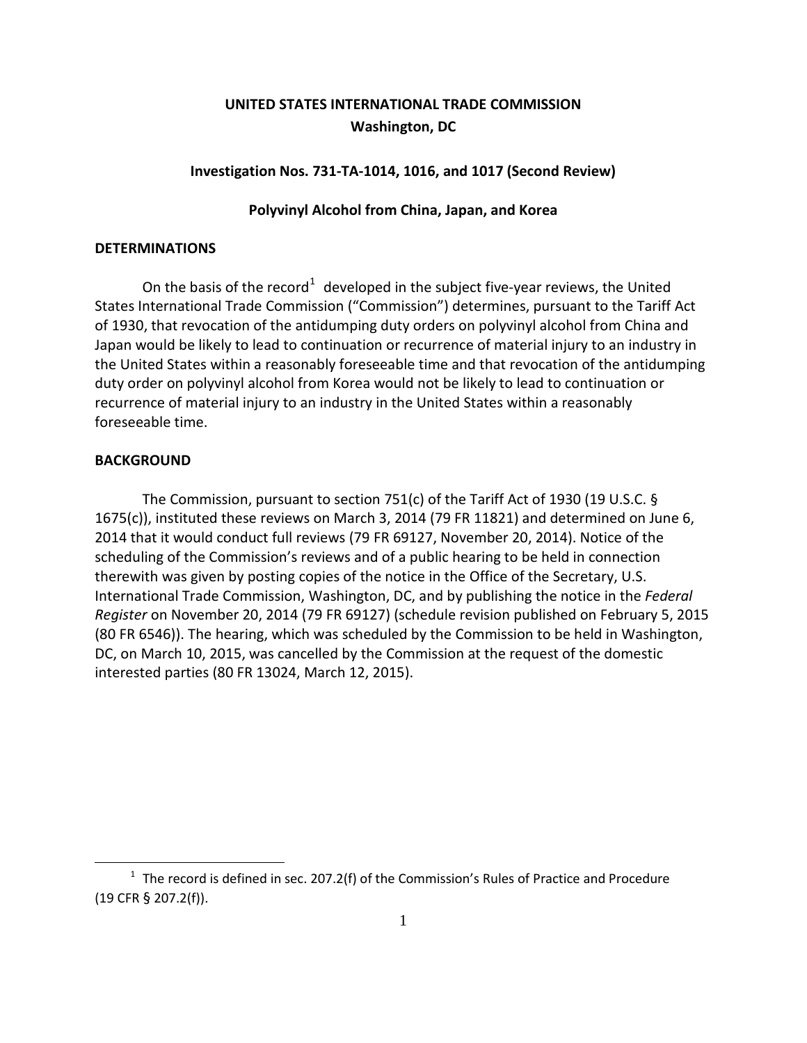# **UNITED STATES INTERNATIONAL TRADE COMMISSION Washington, DC**

### **Investigation Nos. 731-TA-1014, 1016, and 1017 (Second Review)**

## **Polyvinyl Alcohol from China, Japan, and Korea**

### **DETERMINATIONS**

On the basis of the record<sup>[1](#page-0-0)</sup> developed in the subject five-year reviews, the United States International Trade Commission ("Commission") determines, pursuant to the Tariff Act of 1930, that revocation of the antidumping duty orders on polyvinyl alcohol from China and Japan would be likely to lead to continuation or recurrence of material injury to an industry in the United States within a reasonably foreseeable time and that revocation of the antidumping duty order on polyvinyl alcohol from Korea would not be likely to lead to continuation or recurrence of material injury to an industry in the United States within a reasonably foreseeable time.

### **BACKGROUND**

 $\overline{a}$ 

The Commission, pursuant to section 751(c) of the Tariff Act of 1930 (19 U.S.C. § 1675(c)), instituted these reviews on March 3, 2014 (79 FR 11821) and determined on June 6, 2014 that it would conduct full reviews (79 FR 69127, November 20, 2014). Notice of the scheduling of the Commission's reviews and of a public hearing to be held in connection therewith was given by posting copies of the notice in the Office of the Secretary, U.S. International Trade Commission, Washington, DC, and by publishing the notice in the *Federal Register* on November 20, 2014 (79 FR 69127) (schedule revision published on February 5, 2015 (80 FR 6546)). The hearing, which was scheduled by the Commission to be held in Washington, DC, on March 10, 2015, was cancelled by the Commission at the request of the domestic interested parties (80 FR 13024, March 12, 2015).

<span id="page-0-0"></span> $1$  The record is defined in sec. 207.2(f) of the Commission's Rules of Practice and Procedure (19 CFR § 207.2(f)).